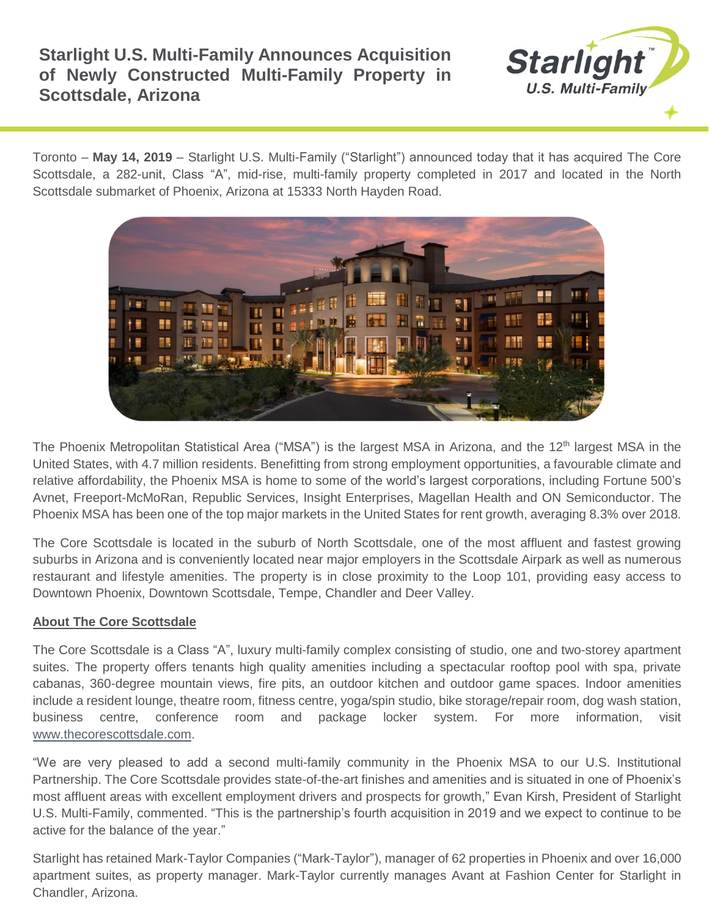## **Starlight U.S. Multi-Family Announces Acquisition of Newly Constructed Multi-Family Property in Scottsdale, Arizona**



Toronto – **May 14, 2019** – Starlight U.S. Multi-Family ("Starlight") announced today that it has acquired The Core Scottsdale, a 282-unit, Class "A", mid-rise, multi-family property completed in 2017 and located in the North Scottsdale submarket of Phoenix, Arizona at 15333 North Hayden Road.



The Phoenix Metropolitan Statistical Area ("MSA") is the largest MSA in Arizona, and the 12<sup>th</sup> largest MSA in the United States, with 4.7 million residents. Benefitting from strong employment opportunities, a favourable climate and relative affordability, the Phoenix MSA is home to some of the world's largest corporations, including Fortune 500's Avnet, Freeport-McMoRan, Republic Services, Insight Enterprises, Magellan Health and ON Semiconductor. The Phoenix MSA has been one of the top major markets in the United States for rent growth, averaging 8.3% over 2018.

The Core Scottsdale is located in the suburb of North Scottsdale, one of the most affluent and fastest growing suburbs in Arizona and is conveniently located near major employers in the Scottsdale Airpark as well as numerous restaurant and lifestyle amenities. The property is in close proximity to the Loop 101, providing easy access to Downtown Phoenix, Downtown Scottsdale, Tempe, Chandler and Deer Valley.

## **About The Core Scottsdale**

The Core Scottsdale is a Class "A", luxury multi-family complex consisting of studio, one and two-storey apartment suites. The property offers tenants high quality amenities including a spectacular rooftop pool with spa, private cabanas, 360-degree mountain views, fire pits, an outdoor kitchen and outdoor game spaces. Indoor amenities include a resident lounge, theatre room, fitness centre, yoga/spin studio, bike storage/repair room, dog wash station, business centre, conference room and package locker system. For more information, visit [www.thecorescottsdale.com.](http://www.altislakeline.com/)

"We are very pleased to add a second multi-family community in the Phoenix MSA to our U.S. Institutional Partnership. The Core Scottsdale provides state-of-the-art finishes and amenities and is situated in one of Phoenix's most affluent areas with excellent employment drivers and prospects for growth," Evan Kirsh, President of Starlight U.S. Multi-Family, commented. "This is the partnership's fourth acquisition in 2019 and we expect to continue to be active for the balance of the year."

Starlight has retained Mark-Taylor Companies ("Mark-Taylor"), manager of 62 properties in Phoenix and over 16,000 apartment suites, as property manager. Mark-Taylor currently manages Avant at Fashion Center for Starlight in Chandler, Arizona.